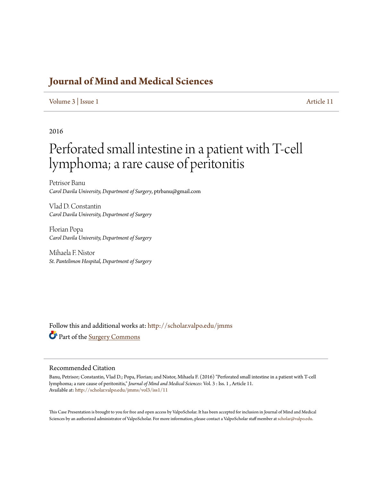### **[Journal of Mind and Medical Sciences](http://scholar.valpo.edu/jmms?utm_source=scholar.valpo.edu%2Fjmms%2Fvol3%2Fiss1%2F11&utm_medium=PDF&utm_campaign=PDFCoverPages)**

#### [Volume 3](http://scholar.valpo.edu/jmms/vol3?utm_source=scholar.valpo.edu%2Fjmms%2Fvol3%2Fiss1%2F11&utm_medium=PDF&utm_campaign=PDFCoverPages) | [Issue 1](http://scholar.valpo.edu/jmms/vol3/iss1?utm_source=scholar.valpo.edu%2Fjmms%2Fvol3%2Fiss1%2F11&utm_medium=PDF&utm_campaign=PDFCoverPages) [Article 11](http://scholar.valpo.edu/jmms/vol3/iss1/11?utm_source=scholar.valpo.edu%2Fjmms%2Fvol3%2Fiss1%2F11&utm_medium=PDF&utm_campaign=PDFCoverPages)

### 2016

# Perforated small intestine in a patient with T-cell lymphoma; a rare cause of peritonitis

Petrisor Banu *Carol Davila University, Department of Surgery*, ptrbanu@gmail.com

Vlad D. Constantin *Carol Davila University, Department of Surgery*

Florian Popa *Carol Davila University, Department of Surgery*

Mihaela F. Nistor *St. Pantelimon Hospital, Department of Surgery*

Follow this and additional works at: [http://scholar.valpo.edu/jmms](http://scholar.valpo.edu/jmms?utm_source=scholar.valpo.edu%2Fjmms%2Fvol3%2Fiss1%2F11&utm_medium=PDF&utm_campaign=PDFCoverPages) Part of the [Surgery Commons](http://network.bepress.com/hgg/discipline/706?utm_source=scholar.valpo.edu%2Fjmms%2Fvol3%2Fiss1%2F11&utm_medium=PDF&utm_campaign=PDFCoverPages)

#### Recommended Citation

Banu, Petrisor; Constantin, Vlad D.; Popa, Florian; and Nistor, Mihaela F. (2016) "Perforated small intestine in a patient with T-cell lymphoma; a rare cause of peritonitis," *Journal of Mind and Medical Sciences*: Vol. 3 : Iss. 1 , Article 11. Available at: [http://scholar.valpo.edu/jmms/vol3/iss1/11](http://scholar.valpo.edu/jmms/vol3/iss1/11?utm_source=scholar.valpo.edu%2Fjmms%2Fvol3%2Fiss1%2F11&utm_medium=PDF&utm_campaign=PDFCoverPages)

This Case Presentation is brought to you for free and open access by ValpoScholar. It has been accepted for inclusion in Journal of Mind and Medical Sciences by an authorized administrator of ValpoScholar. For more information, please contact a ValpoScholar staff member at [scholar@valpo.edu](mailto:scholar@valpo.edu).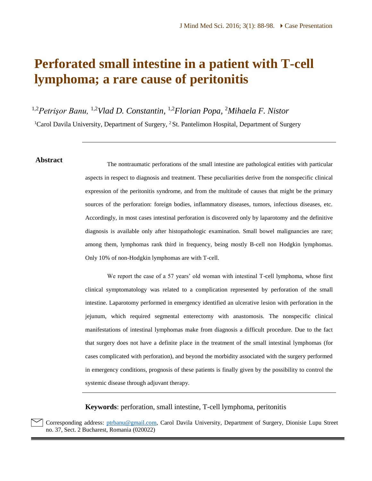## **Perforated small intestine in a patient with T-cell lymphoma; a rare cause of peritonitis**

1,2*Petrişor Banu,* 1,2*Vlad D. Constantin,* 1,2*Florian Popa,* <sup>2</sup>*Mihaela F. Nistor*

<sup>1</sup>Carol Davila University, Department of Surgery, <sup>2</sup> St. Pantelimon Hospital, Department of Surgery

**Abstract** The nontraumatic perforations of the small intestine are pathological entities with particular aspects in respect to diagnosis and treatment. These peculiarities derive from the nonspecific clinical expression of the peritonitis syndrome, and from the multitude of causes that might be the primary sources of the perforation: foreign bodies, inflammatory diseases, tumors, infectious diseases, etc. Accordingly, in most cases intestinal perforation is discovered only by laparotomy and the definitive diagnosis is available only after histopathologic examination. Small bowel malignancies are rare; among them, lymphomas rank third in frequency, being mostly B-cell non Hodgkin lymphomas. Only 10% of non-Hodgkin lymphomas are with T-cell.

> We report the case of a 57 years' old woman with intestinal T-cell lymphoma, whose first clinical symptomatology was related to a complication represented by perforation of the small intestine. Laparotomy performed in emergency identified an ulcerative lesion with perforation in the jejunum, which required segmental enterectomy with anastomosis. The nonspecific clinical manifestations of intestinal lymphomas make from diagnosis a difficult procedure. Due to the fact that surgery does not have a definite place in the treatment of the small intestinal lymphomas (for cases complicated with perforation), and beyond the morbidity associated with the surgery performed in emergency conditions, prognosis of these patients is finally given by the possibility to control the systemic disease through adjuvant therapy.

**Keywords**: perforation, small intestine, T-cell lymphoma, peritonitis

Corresponding address: [ptrbanu@gmail.com,](mailto:ptrbanu@gmail.com) Carol Davila University, Department of Surgery, Dionisie Lupu Street no. 37, Sect. 2 Bucharest, Romania (020022)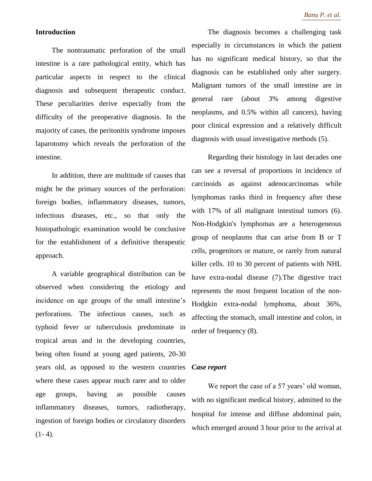#### **Introduction**

The nontraumatic perforation of the small intestine is a rare pathological entity, which has particular aspects in respect to the clinical diagnosis and subsequent therapeutic conduct. These peculiarities derive especially from the difficulty of the preoperative diagnosis. In the majority of cases, the peritonitis syndrome imposes laparotomy which reveals the perforation of the intestine.

In addition, there are multitude of causes that might be the primary sources of the perforation: foreign bodies, inflammatory diseases, tumors, infectious diseases, etc., so that only the histopathologic examination would be conclusive for the establishment of a definitive therapeutic approach.

A variable geographical distribution can be observed when considering the etiology and incidence on age groups of the small intestine's perforations. The infectious causes, such as typhoid fever or tuberculosis predominate in tropical areas and in the developing countries, being often found at young aged patients, 20-30 years old, as opposed to the western countries where these cases appear much rarer and to older age groups, having as possible causes inflammatory diseases, tumors, radiotherapy, ingestion of foreign bodies or circulatory disorders  $(1-4).$ 

The diagnosis becomes a challenging task especially in circumstances in which the patient has no significant medical history, so that the diagnosis can be established only after surgery. Malignant tumors of the small intestine are in general rare (about 3% among digestive neoplasms, and 0.5% within all cancers), having poor clinical expression and a relatively difficult diagnosis with usual investigative methods (5).

Regarding their histology in last decades one can see a reversal of proportions in incidence of carcinoids as against adenocarcinomas while lymphomas ranks third in frequency after these with 17% of all malignant intestinal tumors (6). Non-Hodgkin's lymphomas are a heterogeneous group of neoplasms that can arise from B or T cells, progenitors or mature, or rarely from natural killer cells. 10 to 30 percent of patients with NHL have extra-nodal disease (7).The digestive tract represents the most frequent location of the non-Hodgkin extra-nodal lymphoma, about 36%, affecting the stomach, small intestine and colon, in order of frequency (8).

#### *Case report*

We report the case of a 57 years' old woman, with no significant medical history, admitted to the hospital for intense and diffuse abdominal pain, which emerged around 3 hour prior to the arrival at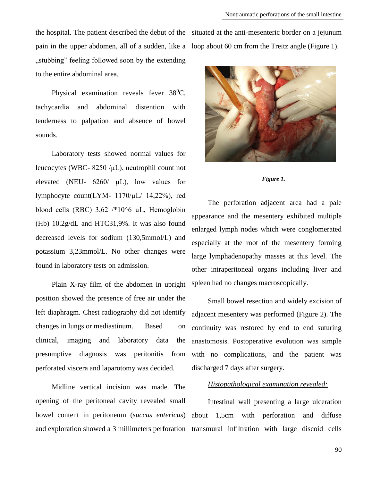pain in the upper abdomen, all of a sudden, like a loop about 60 cm from the Treitz angle (Figure 1). "stubbing" feeling followed soon by the extending to the entire abdominal area.

Physical examination reveals fever  $38^0C$ , tachycardia and abdominal distention with tenderness to palpation and absence of bowel sounds.

Laboratory tests showed normal values for leucocytes (WBC-  $8250 / \mu L$ ), neutrophil count not elevated (NEU- 6260/ µL), low values for lymphocyte count(LYM- 1170/µL/ 14,22%), red blood cells (RBC)  $3,62$  /\*10^6  $\mu$ L, Hemoglobin (Hb) 10.2g/dL and HTC31,9%. It was also found decreased levels for sodium (130,5mmol/L) and potassium 3,23mmol/L. No other changes were found in laboratory tests on admission.

Plain X-ray film of the abdomen in upright position showed the presence of free air under the left diaphragm. Chest radiography did not identify changes in lungs or mediastinum. Based on clinical, imaging and laboratory data the presumptive diagnosis was peritonitis from perforated viscera and laparotomy was decided.

Midline vertical incision was made. The opening of the peritoneal cavity revealed small bowel content in peritoneum (*succus entericus*)

the hospital. The patient described the debut of the situated at the anti-mesenteric border on a jejunum



#### *Figure 1.*

The perforation adjacent area had a pale appearance and the mesentery exhibited multiple enlarged lymph nodes which were conglomerated especially at the root of the mesentery forming large lymphadenopathy masses at this level*.* The other intraperitoneal organs including liver and spleen had no changes macroscopically.

Small bowel resection and widely excision of adjacent mesentery was performed (Figure 2). The continuity was restored by end to end suturing anastomosis. Postoperative evolution was simple with no complications, and the patient was discharged 7 days after surgery.

#### *Histopathological examination revealed:*

and exploration showed a 3 millimeters perforation transmural infiltration with large discoid cells Intestinal wall presenting a large ulceration about 1,5cm with perforation and diffuse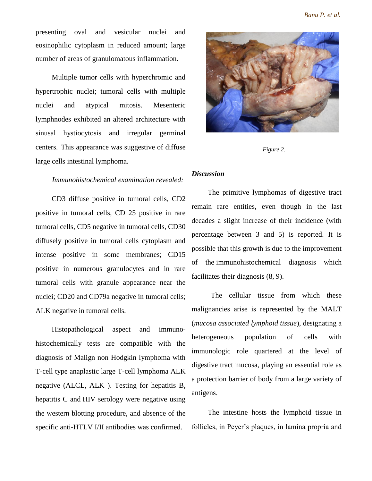presenting oval and vesicular nuclei and eosinophilic cytoplasm in reduced amount; large number of areas of granulomatous inflammation.

Multiple tumor cells with hyperchromic and hypertrophic nuclei; tumoral cells with multiple nuclei and atypical mitosis. Mesenteric lymphnodes exhibited an altered architecture with sinusal hystiocytosis and irregular germinal centers. This appearance was suggestive of diffuse large cells intestinal lymphoma.

#### *Immunohistochemical examination revealed:*

CD3 diffuse positive in tumoral cells, CD2 positive in tumoral cells, CD 25 positive in rare tumoral cells, CD5 negative in tumoral cells, CD30 diffusely positive in tumoral cells cytoplasm and intense positive in some membranes; CD15 positive in numerous granulocytes and in rare tumoral cells with granule appearance near the nuclei; CD20 and CD79a negative in tumoral cells; ALK negative in tumoral cells.

Histopathological aspect and immunohistochemically tests are compatible with the diagnosis of Malign non Hodgkin lymphoma with T-cell type anaplastic large T-cell lymphoma ALK negative (ALCL, ALK ). Testing for hepatitis B, hepatitis C and HIV serology were negative using the western blotting procedure, and absence of the specific anti-HTLV I/II antibodies was confirmed.



*Figure 2.*

### *Discussion*

The primitive lymphomas of digestive tract remain rare entities, even though in the last decades a slight increase of their incidence (with percentage between 3 and 5) is reported. It is possible that this growth is due to the improvement of the immunohistochemical diagnosis which facilitates their diagnosis (8, 9).

The cellular tissue from which these malignancies arise is represented by the MALT (*mucosa associated lymphoid tissue*), designating a heterogeneous population of cells with immunologic role quartered at the level of digestive tract mucosa, playing an essential role as a protection barrier of body from a large variety of antigens.

The intestine hosts the lymphoid tissue in follicles, in Peyer's plaques, in lamina propria and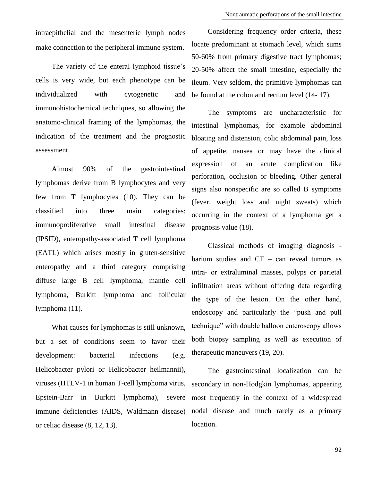intraepithelial and the mesenteric lymph nodes make connection to the peripheral immune system.

The variety of the enteral lymphoid tissue's cells is very wide, but each phenotype can be individualized with cytogenetic and immunohistochemical techniques, so allowing the anatomo-clinical framing of the lymphomas, the indication of the treatment and the prognostic assessment.

Almost 90% of the gastrointestinal lymphomas derive from B lymphocytes and very few from T lymphocytes (10). They can be classified into three main categories: immunoproliferative small intestinal disease (IPSID), enteropathy-associated T cell lymphoma (EATL) which arises mostly in gluten-sensitive enteropathy and a third category comprising diffuse large B cell lymphoma, mantle cell lymphoma, Burkitt lymphoma and follicular lymphoma (11).

What causes for lymphomas is still unknown, but a set of conditions seem to favor their development: bacterial infections (e.g. Helicobacter pylori or Helicobacter heilmannii), viruses (HTLV-1 in human T-cell lymphoma virus, Epstein-Barr in Burkitt lymphoma), severe immune deficiencies (AIDS, Waldmann disease) or celiac disease (8, 12, 13).

Considering frequency order criteria, these locate predominant at stomach level, which sums 50-60% from primary digestive tract lymphomas; 20-50% affect the small intestine, especially the ileum. Very seldom, the primitive lymphomas can be found at the colon and rectum level (14- 17).

The symptoms are uncharacteristic for intestinal lymphomas, for example abdominal bloating and distension, colic abdominal pain, loss of appetite, nausea or may have the clinical expression of an acute complication like perforation, occlusion or bleeding. Other general signs also nonspecific are so called B symptoms (fever, weight loss and night sweats) which occurring in the context of a lymphoma get a prognosis value (18).

Classical methods of imaging diagnosis barium studies and CT – can reveal tumors as intra- or extraluminal masses, polyps or parietal infiltration areas without offering data regarding the type of the lesion. On the other hand, endoscopy and particularly the "push and pull technique" with double balloon enteroscopy allows both biopsy sampling as well as execution of therapeutic maneuvers (19, 20).

The gastrointestinal localization can be secondary in non-Hodgkin lymphomas, appearing most frequently in the context of a widespread nodal disease and much rarely as a primary location.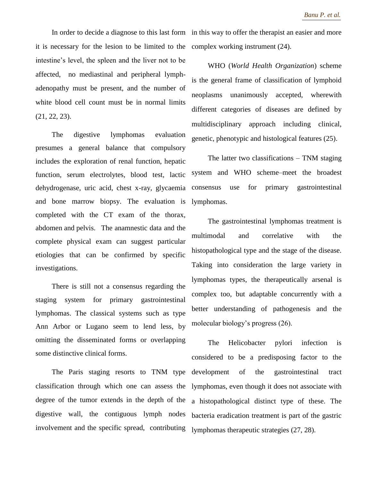it is necessary for the lesion to be limited to the complex working instrument (24). intestine's level, the spleen and the liver not to be affected, no mediastinal and peripheral lymphadenopathy must be present, and the number of white blood cell count must be in normal limits (21, 22, 23).

The digestive lymphomas evaluation presumes a general balance that compulsory includes the exploration of renal function, hepatic function, serum electrolytes, blood test, lactic dehydrogenase, uric acid, chest x-ray, glycaemia and bone marrow biopsy. The evaluation is completed with the CT exam of the thorax, abdomen and pelvis. The anamnestic data and the complete physical exam can suggest particular etiologies that can be confirmed by specific investigations.

There is still not a consensus regarding the staging system for primary gastrointestinal lymphomas. The classical systems such as type Ann Arbor or Lugano seem to lend less, by omitting the disseminated forms or overlapping some distinctive clinical forms.

The Paris staging resorts to TNM type classification through which one can assess the degree of the tumor extends in the depth of the digestive wall, the contiguous lymph nodes involvement and the specific spread, contributing

In order to decide a diagnose to this last form in this way to offer the therapist an easier and more

WHO (*World Health Organization*) scheme is the general frame of classification of lymphoid neoplasms unanimously accepted, wherewith different categories of diseases are defined by multidisciplinary approach including clinical, genetic, phenotypic and histological features (25).

The latter two classifications – TNM staging system and WHO scheme–meet the broadest consensus use for primary gastrointestinal lymphomas.

The gastrointestinal lymphomas treatment is multimodal and correlative with the histopathological type and the stage of the disease. Taking into consideration the large variety in lymphomas types, the therapeutically arsenal is complex too, but adaptable concurrently with a better understanding of pathogenesis and the molecular biology's progress (26).

The Helicobacter pylori infection is considered to be a predisposing factor to the development of the gastrointestinal tract lymphomas, even though it does not associate with a histopathological distinct type of these. The bacteria eradication treatment is part of the gastric lymphomas therapeutic strategies (27, 28).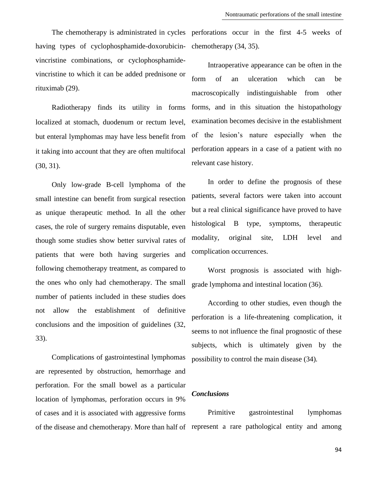having types of cyclophosphamide-doxorubicinvincristine combinations, or cyclophosphamidevincristine to which it can be added prednisone or rituximab (29).

Radiotherapy finds its utility in forms localized at stomach, duodenum or rectum level, but enteral lymphomas may have less benefit from it taking into account that they are often multifocal (30, 31).

Only low-grade B-cell lymphoma of the small intestine can benefit from surgical resection as unique therapeutic method. In all the other cases, the role of surgery remains disputable, even though some studies show better survival rates of patients that were both having surgeries and following chemotherapy treatment, as compared to the ones who only had chemotherapy. The small number of patients included in these studies does not allow the establishment of definitive conclusions and the imposition of guidelines (32, 33).

Complications of gastrointestinal lymphomas are represented by obstruction, hemorrhage and perforation. For the small bowel as a particular location of lymphomas, perforation occurs in 9% of cases and it is associated with aggressive forms

The chemotherapy is administrated in cycles perforations occur in the first 4-5 weeks of chemotherapy (34, 35).

> Intraoperative appearance can be often in the form of an ulceration which can be macroscopically indistinguishable from other forms, and in this situation the histopathology examination becomes decisive in the establishment of the lesion's nature especially when the perforation appears in a case of a patient with no relevant case history.

> In order to define the prognosis of these patients, several factors were taken into account but a real clinical significance have proved to have histological B type, symptoms, therapeutic modality, original site, LDH level and complication occurrences.

> Worst prognosis is associated with highgrade lymphoma and intestinal location (36).

> According to other studies, even though the perforation is a life-threatening complication, it seems to not influence the final prognostic of these subjects, which is ultimately given by the possibility to control the main disease (34)*.*

### *Conclusions*

of the disease and chemotherapy. More than half of represent a rare pathological entity and among Primitive gastrointestinal lymphomas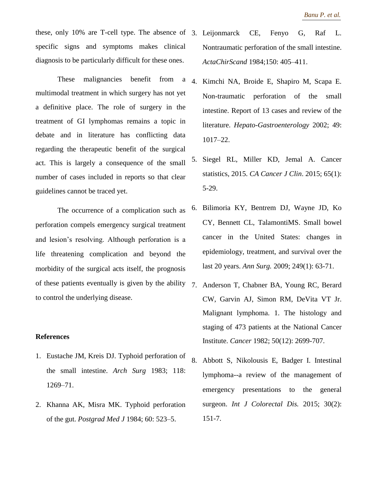these, only 10% are T-cell type. The absence of 3. Leijonmarck CE, Fenyo G, Raf L. specific signs and symptoms makes clinical diagnosis to be particularly difficult for these ones.

These malignancies benefit from a multimodal treatment in which surgery has not yet a definitive place. The role of surgery in the treatment of GI lymphomas remains a topic in debate and in literature has conflicting data regarding the therapeutic benefit of the surgical act. This is largely a consequence of the small number of cases included in reports so that clear guidelines cannot be traced yet.

The occurrence of a complication such as perforation compels emergency surgical treatment and lesion's resolving. Although perforation is a life threatening complication and beyond the morbidity of the surgical acts itself, the prognosis of these patients eventually is given by the ability to control the underlying disease.

#### **References**

- 1. Eustache JM, Kreis DJ. Typhoid perforation of the small intestine. *Arch Surg* 1983; 118: 1269–71.
- 2. Khanna AK, Misra MK. Typhoid perforation of the gut. *Postgrad Med J* 1984; 60: 523–5.
- Nontraumatic perforation of the small intestine. *ActaChirScand* 1984;150: 405–411.
- 4. Kimchi NA, Broide E, Shapiro M, Scapa E. Non-traumatic perforation of the small intestine. Report of 13 cases and review of the literature. *Hepato-Gastroenterology* 2002; 49: 1017–22.
- 5. Siegel RL, Miller KD, Jemal A. Cancer statistics, 2015. *CA Cancer J Clin*. 2015; 65(1): 5-29.
- 6. Bilimoria KY, Bentrem DJ, Wayne JD, Ko CY, Bennett CL, TalamontiMS. Small bowel cancer in the United States: changes in epidemiology, treatment, and survival over the last 20 years. *Ann Surg.* 2009; 249(1): 63-71.
- 7. Anderson T, Chabner BA, Young RC, Berard CW, Garvin AJ, Simon RM, DeVita VT Jr. Malignant lymphoma. 1. The histology and staging of 473 patients at the National Cancer Institute. *Cancer* 1982; 50(12): 2699-707.
- 8. Abbott S, Nikolousis E, Badger I. Intestinal lymphoma--a review of the management of emergency presentations to the general surgeon. *Int J Colorectal Dis.* 2015; 30(2): 151-7.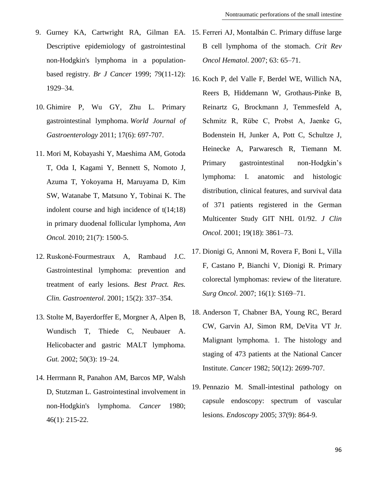- Descriptive epidemiology of gastrointestinal non-Hodgkin's lymphoma in a populationbased registry. *Br J Cancer* 1999; 79(11-12): 1929–34.
- 10. Ghimire P, Wu GY, Zhu L. Primary gastrointestinal lymphoma. *World Journal of Gastroenterology* 2011; 17(6): 697-707.
- 11. Mori M, Kobayashi Y, Maeshima AM, Gotoda T, Oda I, Kagami Y, Bennett S, Nomoto J, Azuma T, Yokoyama H, Maruyama D, Kim SW, Watanabe T, Matsuno Y, Tobinai K. The indolent course and high incidence of t(14;18) in primary duodenal follicular lymphoma, *Ann Oncol.* 2010; 21(7): 1500-5.
- 12. Ruskoné-Fourmestraux A, Rambaud J.C. Gastrointestinal lymphoma: prevention and treatment of early lesions. *Best Pract. Res. Clin. Gastroenterol*. 2001; 15(2): 337–354.
- 13. Stolte M, Bayerdorffer E, Morgner A, Alpen B, Wundisch T, Thiede C, Neubauer A. Helicobacter and gastric MALT lymphoma. *Gut.* 2002; 50(3): 19–24.
- 14. Herrmann R, Panahon AM, Barcos MP, Walsh D, Stutzman L. Gastrointestinal involvement in non-Hodgkin's lymphoma. *Cancer* 1980; 46(1): 215-22.
- 9. Gurney KA, Cartwright RA, Gilman EA. 15. Ferreri AJ, Montalbán C. Primary diffuse large B cell lymphoma of the stomach. *Crit Rev Oncol Hematol*. 2007; 63: 65–71.
	- 16. Koch P, del Valle F, Berdel WE, Willich NA, Reers B, Hiddemann W, Grothaus-Pinke B, Reinartz G, Brockmann J, Temmesfeld A, Schmitz R, Rübe C, Probst A, Jaenke G, Bodenstein H, Junker A, Pott C, Schultze J, Heinecke A, Parwaresch R, Tiemann M. Primary gastrointestinal non-Hodgkin's lymphoma: I. anatomic and histologic distribution, clinical features, and survival data of 371 patients registered in the German Multicenter Study GIT NHL 01/92. *J Clin Oncol*. 2001; 19(18): 3861–73.
	- 17. Dionigi G, Annoni M, Rovera F, Boni L, Villa F, Castano P, Bianchi V, Dionigi R. Primary colorectal lymphomas: review of the literature. *Surg Oncol*. 2007; 16(1): S169–71.
	- 18. Anderson T, Chabner BA, Young RC, Berard CW, Garvin AJ, Simon RM, DeVita VT Jr. Malignant lymphoma. 1. The histology and staging of 473 patients at the National Cancer Institute. *Cancer* 1982; 50(12): 2699-707.
	- 19. Pennazio M. Small-intestinal pathology on capsule endoscopy: spectrum of vascular lesions. *Endoscopy* 2005; 37(9): 864-9.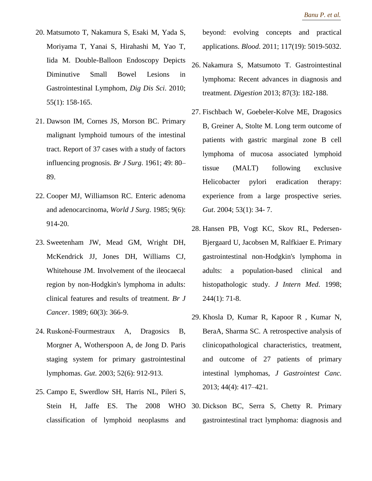- 20. Matsumoto T, Nakamura S, Esaki M, Yada S, Moriyama T, Yanai S, Hirahashi M, Yao T, Iida M. Double-Balloon Endoscopy Depicts Diminutive Small Bowel Lesions in Gastrointestinal Lymphom, *Dig Dis Sci*. 2010; 55(1): 158-165.
- 21. Dawson IM, Cornes JS, Morson BC. Primary malignant lymphoid tumours of the intestinal tract. Report of 37 cases with a study of factors influencing prognosis. *Br J Surg*. 1961; 49: 80– 89.
- 22. Cooper MJ, Williamson RC. Enteric adenoma and adenocarcinoma, *World J Surg*. 1985; 9(6): 914-20.
- 23. Sweetenham JW, Mead GM, Wright DH, McKendrick JJ, Jones DH, Williams CJ, Whitehouse JM. Involvement of the ileocaecal region by non-Hodgkin's lymphoma in adults: clinical features and results of treatment. *Br J Cancer*. 1989; 60(3): 366-9.
- 24. Ruskoné-Fourmestraux A, Dragosics B, Morgner A, Wotherspoon A, de Jong D. Paris staging system for primary gastrointestinal lymphomas. *Gut*. 2003; 52(6): 912-913.
- 25. Campo E, Swerdlow SH, Harris NL, Pileri S, Stein H, Jaffe ES. The 2008 WHO classification of lymphoid neoplasms and

beyond: evolving concepts and practical applications. *Blood*. 2011; 117(19): 5019-5032.

- 26. Nakamura S, Matsumoto T. Gastrointestinal lymphoma: Recent advances in diagnosis and treatment. *Digestion* 2013; 87(3): 182-188.
- 27. Fischbach W, Goebeler-Kolve ME, Dragosics B, Greiner A, Stolte M. Long term outcome of patients with gastric marginal zone B cell lymphoma of mucosa associated lymphoid tissue (MALT) following exclusive Helicobacter pylori eradication therapy: experience from a large prospective series. *Gut*. 2004; 53(1): 34- 7.
- 28. Hansen PB, Vogt KC, Skov RL, Pedersen-Bjergaard U, Jacobsen M, Ralfkiaer E. Primary gastrointestinal non-Hodgkin's lymphoma in adults: a population-based clinical and histopathologic study. *J Intern Med*. 1998; 244(1): 71-8.
- 29. Khosla D, Kumar R, Kapoor R , Kumar N, BeraA, Sharma SC. A retrospective analysis of clinicopathological characteristics, treatment, and outcome of 27 patients of primary intestinal lymphomas, *J Gastrointest Canc.* 2013; 44(4): 417–421.
- 30. Dickson BC, Serra S, Chetty R. Primary gastrointestinal tract lymphoma: diagnosis and